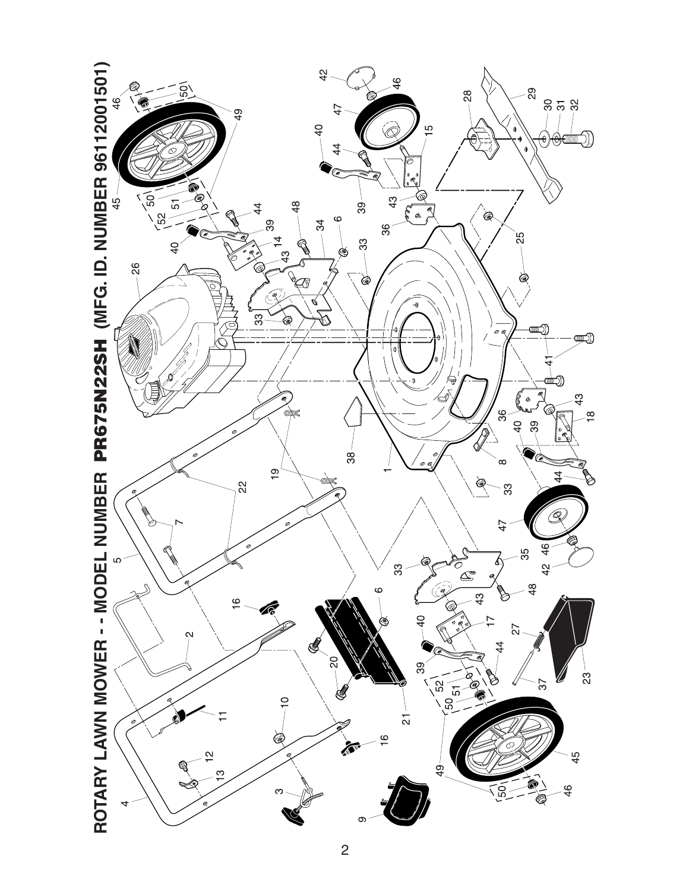